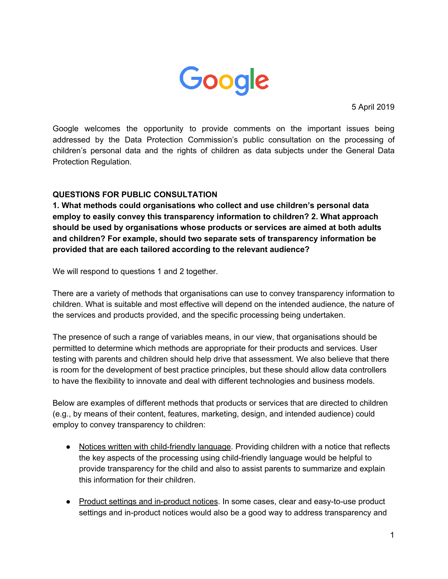

5 April 2019

Google welcomes the opportunity to provide comments on the important issues being addressed by the Data Protection Commission's public consultation on the processing of children's personal data and the rights of children as data subjects under the General Data Protection Regulation.

#### **QUESTIONS FOR PUBLIC CONSULTATION**

**1. What methods could organisations who collect and use children's personal data employ to easily convey this transparency information to children? 2. What approach should be used by organisations whose products or services are aimed at both adults and children? For example, should two separate sets of transparency information be provided that are each tailored according to the relevant audience?**

We will respond to questions 1 and 2 together.

There are a variety of methods that organisations can use to convey transparency information to children. What is suitable and most effective will depend on the intended audience, the nature of the services and products provided, and the specific processing being undertaken.

The presence of such a range of variables means, in our view, that organisations should be permitted to determine which methods are appropriate for their products and services. User testing with parents and children should help drive that assessment. We also believe that there is room for the development of best practice principles, but these should allow data controllers to have the flexibility to innovate and deal with different technologies and business models.

Below are examples of different methods that products or services that are directed to children (e.g., by means of their content, features, marketing, design, and intended audience) could employ to convey transparency to children:

- Notices written with child-friendly language. Providing children with a notice that reflects the key aspects of the processing using child-friendly language would be helpful to provide transparency for the child and also to assist parents to summarize and explain this information for their children.
- Product settings and in-product notices. In some cases, clear and easy-to-use product settings and in-product notices would also be a good way to address transparency and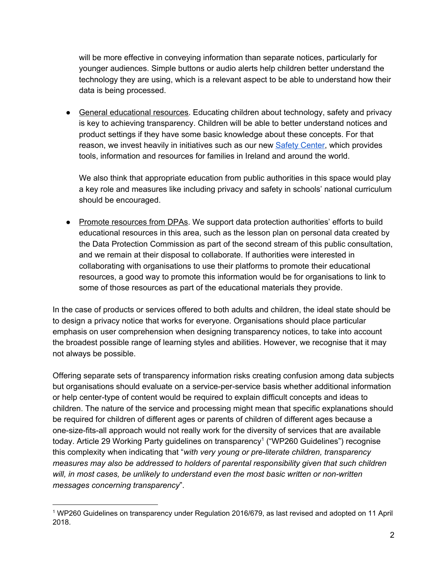will be more effective in conveying information than separate notices, particularly for younger audiences. Simple buttons or audio alerts help children better understand the technology they are using, which is a relevant aspect to be able to understand how their data is being processed.

• General educational resources. Educating children about technology, safety and privacy is key to achieving transparency. Children will be able to better understand notices and product settings if they have some basic knowledge about these concepts. For that reason, we invest heavily in initiatives such as our new Safety [Center](https://safety.google/families/), which provides tools, information and resources for families in Ireland and around the world.

We also think that appropriate education from public authorities in this space would play a key role and measures like including privacy and safety in schools' national curriculum should be encouraged.

● Promote resources from DPAs. We support data protection authorities' efforts to build educational resources in this area, such as the lesson plan on personal data created by the Data Protection Commission as part of the second stream of this public consultation, and we remain at their disposal to collaborate. If authorities were interested in collaborating with organisations to use their platforms to promote their educational resources, a good way to promote this information would be for organisations to link to some of those resources as part of the educational materials they provide.

In the case of products or services offered to both adults and children, the ideal state should be to design a privacy notice that works for everyone. Organisations should place particular emphasis on user comprehension when designing transparency notices, to take into account the broadest possible range of learning styles and abilities. However, we recognise that it may not always be possible.

Offering separate sets of transparency information risks creating confusion among data subjects but organisations should evaluate on a service-per-service basis whether additional information or help center-type of content would be required to explain difficult concepts and ideas to children. The nature of the service and processing might mean that specific explanations should be required for children of different ages or parents of children of different ages because a one-size-fits-all approach would not really work for the diversity of services that are available today. Article 29 Working Party guidelines on transparency<sup>1</sup> ("WP260 Guidelines") recognise this complexity when indicating that "*with very young or pre-literate children, transparency measures may also be addressed to holders of parental responsibility given that such children will, in most cases, be unlikely to understand even the most basic written or non-written messages concerning transparency*".

<sup>1</sup> WP260 Guidelines on transparency under Regulation 2016/679, as last revised and adopted on 11 April 2018.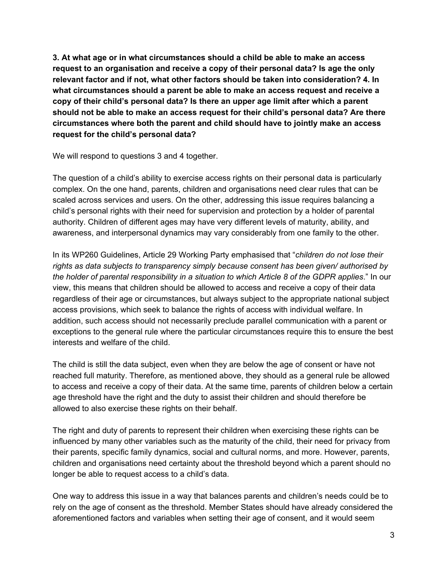**3. At what age or in what circumstances should a child be able to make an access request to an organisation and receive a copy of their personal data? Is age the only relevant factor and if not, what other factors should be taken into consideration? 4. In what circumstances should a parent be able to make an access request and receive a copy of their child's personal data? Is there an upper age limit after which a parent should not be able to make an access request for their child's personal data? Are there circumstances where both the parent and child should have to jointly make an access request for the child's personal data?**

We will respond to questions 3 and 4 together.

The question of a child's ability to exercise access rights on their personal data is particularly complex. On the one hand, parents, children and organisations need clear rules that can be scaled across services and users. On the other, addressing this issue requires balancing a child's personal rights with their need for supervision and protection by a holder of parental authority. Children of different ages may have very different levels of maturity, ability, and awareness, and interpersonal dynamics may vary considerably from one family to the other.

In its WP260 Guidelines, Article 29 Working Party emphasised that "*children do not lose their rights as data subjects to transparency simply because consent has been given/ authorised by the holder of parental responsibility in a situation to which Article 8 of the GDPR applies*." In our view, this means that children should be allowed to access and receive a copy of their data regardless of their age or circumstances, but always subject to the appropriate national subject access provisions, which seek to balance the rights of access with individual welfare. In addition, such access should not necessarily preclude parallel communication with a parent or exceptions to the general rule where the particular circumstances require this to ensure the best interests and welfare of the child.

The child is still the data subject, even when they are below the age of consent or have not reached full maturity. Therefore, as mentioned above, they should as a general rule be allowed to access and receive a copy of their data. At the same time, parents of children below a certain age threshold have the right and the duty to assist their children and should therefore be allowed to also exercise these rights on their behalf.

The right and duty of parents to represent their children when exercising these rights can be influenced by many other variables such as the maturity of the child, their need for privacy from their parents, specific family dynamics, social and cultural norms, and more. However, parents, children and organisations need certainty about the threshold beyond which a parent should no longer be able to request access to a child's data.

One way to address this issue in a way that balances parents and children's needs could be to rely on the age of consent as the threshold. Member States should have already considered the aforementioned factors and variables when setting their age of consent, and it would seem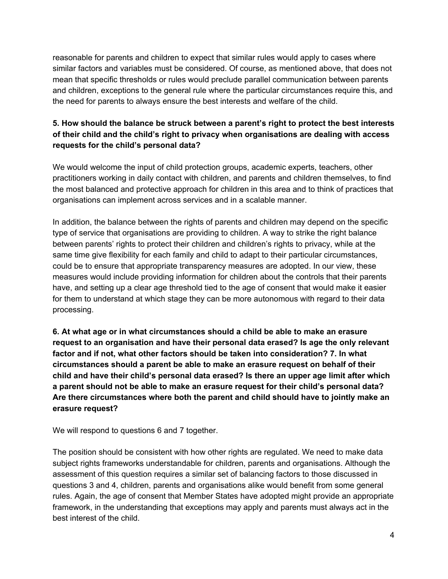reasonable for parents and children to expect that similar rules would apply to cases where similar factors and variables must be considered. Of course, as mentioned above, that does not mean that specific thresholds or rules would preclude parallel communication between parents and children, exceptions to the general rule where the particular circumstances require this, and the need for parents to always ensure the best interests and welfare of the child.

# **5. How should the balance be struck between a parent's right to protect the best interests of their child and the child's right to privacy when organisations are dealing with access requests for the child's personal data?**

We would welcome the input of child protection groups, academic experts, teachers, other practitioners working in daily contact with children, and parents and children themselves, to find the most balanced and protective approach for children in this area and to think of practices that organisations can implement across services and in a scalable manner.

In addition, the balance between the rights of parents and children may depend on the specific type of service that organisations are providing to children. A way to strike the right balance between parents' rights to protect their children and children's rights to privacy, while at the same time give flexibility for each family and child to adapt to their particular circumstances, could be to ensure that appropriate transparency measures are adopted. In our view, these measures would include providing information for children about the controls that their parents have, and setting up a clear age threshold tied to the age of consent that would make it easier for them to understand at which stage they can be more autonomous with regard to their data processing.

**6. At what age or in what circumstances should a child be able to make an erasure request to an organisation and have their personal data erased? Is age the only relevant factor and if not, what other factors should be taken into consideration? 7. In what circumstances should a parent be able to make an erasure request on behalf of their child and have their child's personal data erased? Is there an upper age limit after which a parent should not be able to make an erasure request for their child's personal data? Are there circumstances where both the parent and child should have to jointly make an erasure request?**

We will respond to questions 6 and 7 together.

The position should be consistent with how other rights are regulated. We need to make data subject rights frameworks understandable for children, parents and organisations. Although the assessment of this question requires a similar set of balancing factors to those discussed in questions 3 and 4, children, parents and organisations alike would benefit from some general rules. Again, the age of consent that Member States have adopted might provide an appropriate framework, in the understanding that exceptions may apply and parents must always act in the best interest of the child.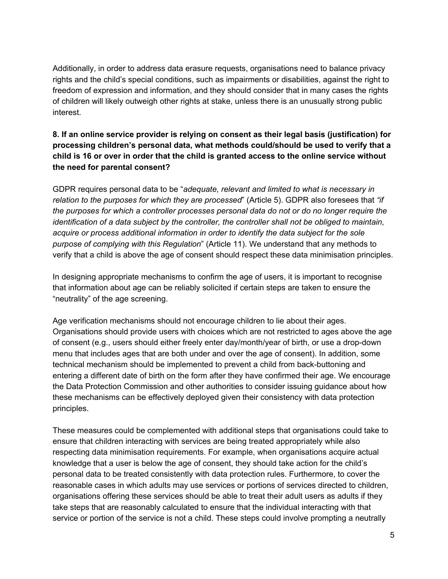Additionally, in order to address data erasure requests, organisations need to balance privacy rights and the child's special conditions, such as impairments or disabilities, against the right to freedom of expression and information, and they should consider that in many cases the rights of children will likely outweigh other rights at stake, unless there is an unusually strong public interest.

## **8. If an online service provider is relying on consent as their legal basis (justification) for processing children's personal data, what methods could/should be used to verify that a child is 16 or over in order that the child is granted access to the online service without the need for parental consent?**

GDPR requires personal data to be "*adequate, relevant and limited to what is necessary in relation to the purposes for which they are processed*" (Article 5). GDPR also foresees that *"if the purposes for which a controller processes personal data do not or do no longer require the identification of a data subject by the controller, the controller shall not be obliged to maintain, acquire or process additional information in order to identify the data subject for the sole purpose of complying with this Regulation*" (Article 11). We understand that any methods to verify that a child is above the age of consent should respect these data minimisation principles.

In designing appropriate mechanisms to confirm the age of users, it is important to recognise that information about age can be reliably solicited if certain steps are taken to ensure the "neutrality" of the age screening.

Age verification mechanisms should not encourage children to lie about their ages. Organisations should provide users with choices which are not restricted to ages above the age of consent (e.g., users should either freely enter day/month/year of birth, or use a drop-down menu that includes ages that are both under and over the age of consent). In addition, some technical mechanism should be implemented to prevent a child from back-buttoning and entering a different date of birth on the form after they have confirmed their age. We encourage the Data Protection Commission and other authorities to consider issuing guidance about how these mechanisms can be effectively deployed given their consistency with data protection principles.

These measures could be complemented with additional steps that organisations could take to ensure that children interacting with services are being treated appropriately while also respecting data minimisation requirements. For example, when organisations acquire actual knowledge that a user is below the age of consent, they should take action for the child's personal data to be treated consistently with data protection rules. Furthermore, to cover the reasonable cases in which adults may use services or portions of services directed to children, organisations offering these services should be able to treat their adult users as adults if they take steps that are reasonably calculated to ensure that the individual interacting with that service or portion of the service is not a child. These steps could involve prompting a neutrally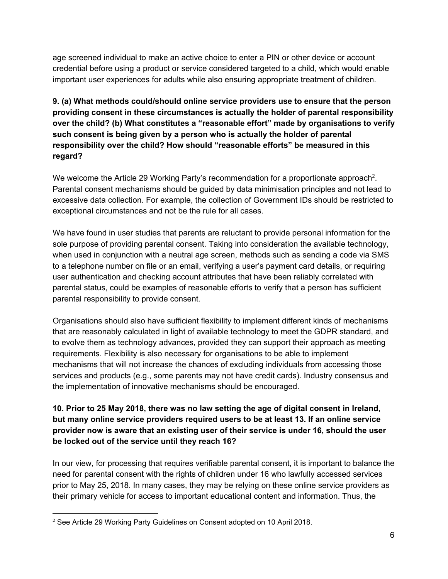age screened individual to make an active choice to enter a PIN or other device or account credential before using a product or service considered targeted to a child, which would enable important user experiences for adults while also ensuring appropriate treatment of children.

# **9. (a) What methods could/should online service providers use to ensure that the person providing consent in these circumstances is actually the holder of parental responsibility over the child? (b) What constitutes a "reasonable effort" made by organisations to verify such consent is being given by a person who is actually the holder of parental responsibility over the child? How should "reasonable efforts" be measured in this regard?**

We welcome the Article 29 Working Party's recommendation for a proportionate approach<sup>2</sup>. Parental consent mechanisms should be guided by data minimisation principles and not lead to excessive data collection. For example, the collection of Government IDs should be restricted to exceptional circumstances and not be the rule for all cases.

We have found in user studies that parents are reluctant to provide personal information for the sole purpose of providing parental consent. Taking into consideration the available technology, when used in conjunction with a neutral age screen, methods such as sending a code via SMS to a telephone number on file or an email, verifying a user's payment card details, or requiring user authentication and checking account attributes that have been reliably correlated with parental status, could be examples of reasonable efforts to verify that a person has sufficient parental responsibility to provide consent.

Organisations should also have sufficient flexibility to implement different kinds of mechanisms that are reasonably calculated in light of available technology to meet the GDPR standard, and to evolve them as technology advances, provided they can support their approach as meeting requirements. Flexibility is also necessary for organisations to be able to implement mechanisms that will not increase the chances of excluding individuals from accessing those services and products (e.g., some parents may not have credit cards). Industry consensus and the implementation of innovative mechanisms should be encouraged.

## **10. Prior to 25 May 2018, there was no law setting the age of digital consent in Ireland, but many online service providers required users to be at least 13. If an online service provider now is aware that an existing user of their service is under 16, should the user be locked out of the service until they reach 16?**

In our view, for processing that requires verifiable parental consent, it is important to balance the need for parental consent with the rights of children under 16 who lawfully accessed services prior to May 25, 2018. In many cases, they may be relying on these online service providers as their primary vehicle for access to important educational content and information. Thus, the

<sup>2</sup> See Article 29 Working Party Guidelines on Consent adopted on 10 April 2018.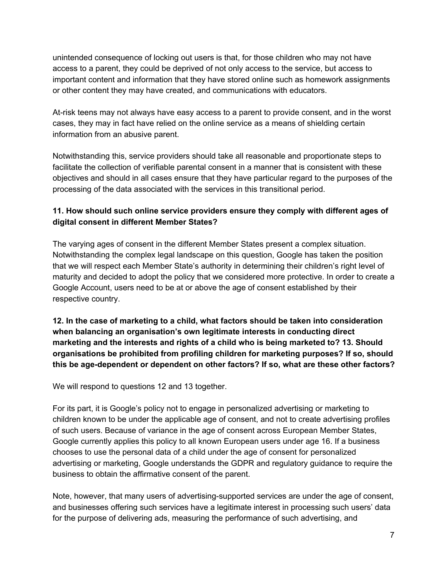unintended consequence of locking out users is that, for those children who may not have access to a parent, they could be deprived of not only access to the service, but access to important content and information that they have stored online such as homework assignments or other content they may have created, and communications with educators.

At-risk teens may not always have easy access to a parent to provide consent, and in the worst cases, they may in fact have relied on the online service as a means of shielding certain information from an abusive parent.

Notwithstanding this, service providers should take all reasonable and proportionate steps to facilitate the collection of verifiable parental consent in a manner that is consistent with these objectives and should in all cases ensure that they have particular regard to the purposes of the processing of the data associated with the services in this transitional period.

## **11. How should such online service providers ensure they comply with different ages of digital consent in different Member States?**

The varying ages of consent in the different Member States present a complex situation. Notwithstanding the complex legal landscape on this question, Google has taken the position that we will respect each Member State's authority in determining their children's right level of maturity and decided to adopt the policy that we considered more protective. In order to create a Google Account, users need to be at or above the age of consent established by their respective country.

**12. In the case of marketing to a child, what factors should be taken into consideration when balancing an organisation's own legitimate interests in conducting direct marketing and the interests and rights of a child who is being marketed to? 13. Should organisations be prohibited from profiling children for marketing purposes? If so, should this be age-dependent or dependent on other factors? If so, what are these other factors?**

We will respond to questions 12 and 13 together.

For its part, it is Google's policy not to engage in personalized advertising or marketing to children known to be under the applicable age of consent, and not to create advertising profiles of such users. Because of variance in the age of consent across European Member States, Google currently applies this policy to all known European users under age 16. If a business chooses to use the personal data of a child under the age of consent for personalized advertising or marketing, Google understands the GDPR and regulatory guidance to require the business to obtain the affirmative consent of the parent.

Note, however, that many users of advertising-supported services are under the age of consent, and businesses offering such services have a legitimate interest in processing such users' data for the purpose of delivering ads, measuring the performance of such advertising, and